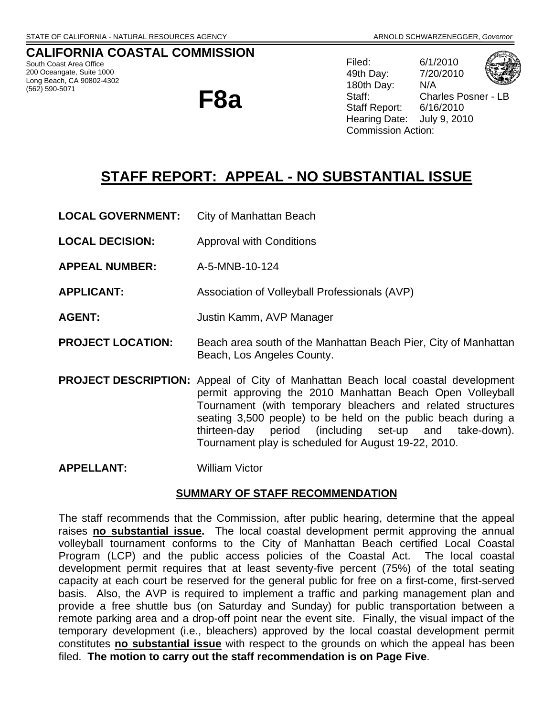### **CALIFORNIA COASTAL COMMISSION**

South Coast Area Office 200 Oceangate, Suite 1000 Long Beach, CA 90802-4302 (562) 590-5071 **F8a** 

Filed: 6/1/2010 49th Day: 7/20/2010 180th Day: N/A Staff: Charles Posner - LB Staff Report: 6/16/2010 Hearing Date: July 9, 2010 Commission Action:

# **STAFF REPORT: APPEAL - NO SUBSTANTIAL ISSUE**

- **LOCAL GOVERNMENT:** City of Manhattan Beach
- **LOCAL DECISION:** Approval with Conditions
- **APPEAL NUMBER:** A-5-MNB-10-124
- **APPLICANT:** Association of Volleyball Professionals (AVP)
- **AGENT:** Justin Kamm, AVP Manager
- **PROJECT LOCATION:** Beach area south of the Manhattan Beach Pier, City of Manhattan Beach, Los Angeles County.
- **PROJECT DESCRIPTION:** Appeal of City of Manhattan Beach local coastal development permit approving the 2010 Manhattan Beach Open Volleyball Tournament (with temporary bleachers and related structures seating 3,500 people) to be held on the public beach during a thirteen-day period (including set-up and take-down). Tournament play is scheduled for August 19-22, 2010.

**APPELLANT:** William Victor

#### **SUMMARY OF STAFF RECOMMENDATION**

The staff recommends that the Commission, after public hearing, determine that the appeal raises **no substantial issue.** The local coastal development permit approving the annual volleyball tournament conforms to the City of Manhattan Beach certified Local Coastal Program (LCP) and the public access policies of the Coastal Act. The local coastal development permit requires that at least seventy-five percent (75%) of the total seating capacity at each court be reserved for the general public for free on a first-come, first-served basis. Also, the AVP is required to implement a traffic and parking management plan and provide a free shuttle bus (on Saturday and Sunday) for public transportation between a remote parking area and a drop-off point near the event site. Finally, the visual impact of the temporary development (i.e., bleachers) approved by the local coastal development permit constitutes **no substantial issue** with respect to the grounds on which the appeal has been filed. **The motion to carry out the staff recommendation is on Page Five**.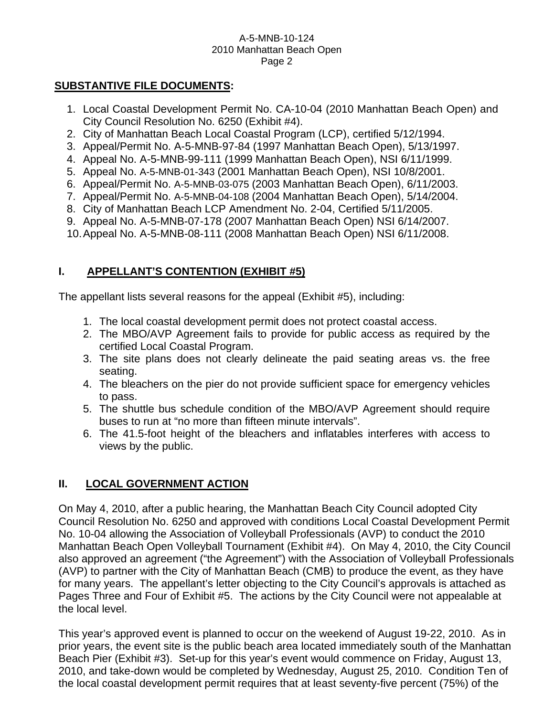### **SUBSTANTIVE FILE DOCUMENTS:**

- 1. Local Coastal Development Permit No. CA-10-04 (2010 Manhattan Beach Open) and City Council Resolution No. 6250 (Exhibit #4).
- 2. City of Manhattan Beach Local Coastal Program (LCP), certified 5/12/1994.
- 3. Appeal/Permit No. A-5-MNB-97-84 (1997 Manhattan Beach Open), 5/13/1997.
- 4. Appeal No. A-5-MNB-99-111 (1999 Manhattan Beach Open), NSI 6/11/1999.
- 5. Appeal No. A-5-MNB-01-343 (2001 Manhattan Beach Open), NSI 10/8/2001.
- 6. Appeal/Permit No. A-5-MNB-03-075 (2003 Manhattan Beach Open), 6/11/2003.
- 7. Appeal/Permit No. A-5-MNB-04-108 (2004 Manhattan Beach Open), 5/14/2004.
- 8. City of Manhattan Beach LCP Amendment No. 2-04, Certified 5/11/2005.
- 9. Appeal No. A-5-MNB-07-178 (2007 Manhattan Beach Open) NSI 6/14/2007.
- 10. Appeal No. A-5-MNB-08-111 (2008 Manhattan Beach Open) NSI 6/11/2008.

# **I. APPELLANT'S CONTENTION (EXHIBIT #5)**

The appellant lists several reasons for the appeal (Exhibit #5), including:

- 1. The local coastal development permit does not protect coastal access.
- 2. The MBO/AVP Agreement fails to provide for public access as required by the certified Local Coastal Program.
- 3. The site plans does not clearly delineate the paid seating areas vs. the free seating.
- 4. The bleachers on the pier do not provide sufficient space for emergency vehicles to pass.
- 5. The shuttle bus schedule condition of the MBO/AVP Agreement should require buses to run at "no more than fifteen minute intervals".
- 6. The 41.5-foot height of the bleachers and inflatables interferes with access to views by the public.

# **II. LOCAL GOVERNMENT ACTION**

On May 4, 2010, after a public hearing, the Manhattan Beach City Council adopted City Council Resolution No. 6250 and approved with conditions Local Coastal Development Permit No. 10-04 allowing the Association of Volleyball Professionals (AVP) to conduct the 2010 Manhattan Beach Open Volleyball Tournament (Exhibit #4). On May 4, 2010, the City Council also approved an agreement ("the Agreement") with the Association of Volleyball Professionals (AVP) to partner with the City of Manhattan Beach (CMB) to produce the event, as they have for many years. The appellant's letter objecting to the City Council's approvals is attached as Pages Three and Four of Exhibit #5. The actions by the City Council were not appealable at the local level.

This year's approved event is planned to occur on the weekend of August 19-22, 2010. As in prior years, the event site is the public beach area located immediately south of the Manhattan Beach Pier (Exhibit #3). Set-up for this year's event would commence on Friday, August 13, 2010, and take-down would be completed by Wednesday, August 25, 2010. Condition Ten of the local coastal development permit requires that at least seventy-five percent (75%) of the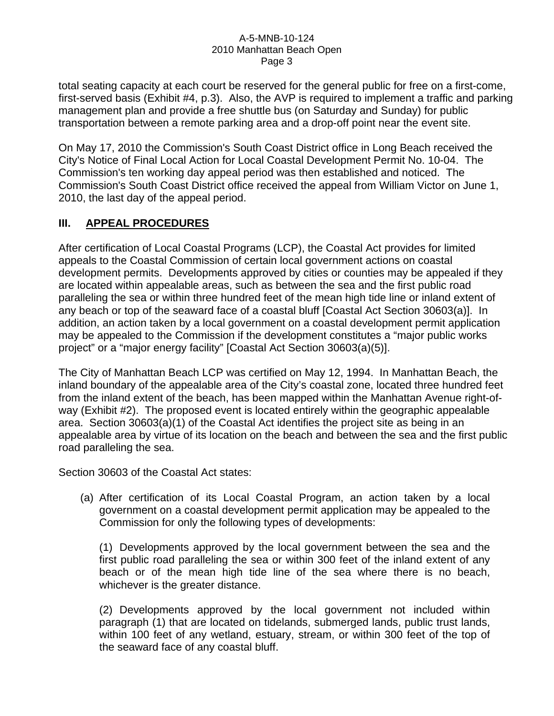total seating capacity at each court be reserved for the general public for free on a first-come, first-served basis (Exhibit #4, p.3). Also, the AVP is required to implement a traffic and parking management plan and provide a free shuttle bus (on Saturday and Sunday) for public transportation between a remote parking area and a drop-off point near the event site.

On May 17, 2010 the Commission's South Coast District office in Long Beach received the City's Notice of Final Local Action for Local Coastal Development Permit No. 10-04. The Commission's ten working day appeal period was then established and noticed. The Commission's South Coast District office received the appeal from William Victor on June 1, 2010, the last day of the appeal period.

# **III. APPEAL PROCEDURES**

After certification of Local Coastal Programs (LCP), the Coastal Act provides for limited appeals to the Coastal Commission of certain local government actions on coastal development permits. Developments approved by cities or counties may be appealed if they are located within appealable areas, such as between the sea and the first public road paralleling the sea or within three hundred feet of the mean high tide line or inland extent of any beach or top of the seaward face of a coastal bluff [Coastal Act Section 30603(a)]. In addition, an action taken by a local government on a coastal development permit application may be appealed to the Commission if the development constitutes a "major public works project" or a "major energy facility" [Coastal Act Section 30603(a)(5)].

The City of Manhattan Beach LCP was certified on May 12, 1994. In Manhattan Beach, the inland boundary of the appealable area of the City's coastal zone, located three hundred feet from the inland extent of the beach, has been mapped within the Manhattan Avenue right-ofway (Exhibit #2). The proposed event is located entirely within the geographic appealable area. Section 30603(a)(1) of the Coastal Act identifies the project site as being in an appealable area by virtue of its location on the beach and between the sea and the first public road paralleling the sea.

Section 30603 of the Coastal Act states:

 (a) After certification of its Local Coastal Program, an action taken by a local government on a coastal development permit application may be appealed to the Commission for only the following types of developments:

 (1) Developments approved by the local government between the sea and the first public road paralleling the sea or within 300 feet of the inland extent of any beach or of the mean high tide line of the sea where there is no beach, whichever is the greater distance.

 (2) Developments approved by the local government not included within paragraph (1) that are located on tidelands, submerged lands, public trust lands, within 100 feet of any wetland, estuary, stream, or within 300 feet of the top of the seaward face of any coastal bluff.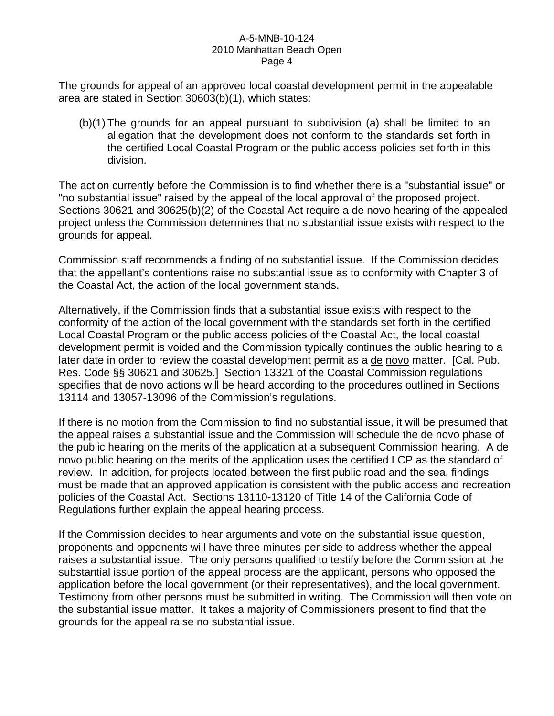The grounds for appeal of an approved local coastal development permit in the appealable area are stated in Section 30603(b)(1), which states:

 (b)(1) The grounds for an appeal pursuant to subdivision (a) shall be limited to an allegation that the development does not conform to the standards set forth in the certified Local Coastal Program or the public access policies set forth in this division.

The action currently before the Commission is to find whether there is a "substantial issue" or "no substantial issue" raised by the appeal of the local approval of the proposed project. Sections 30621 and 30625(b)(2) of the Coastal Act require a de novo hearing of the appealed project unless the Commission determines that no substantial issue exists with respect to the grounds for appeal.

Commission staff recommends a finding of no substantial issue. If the Commission decides that the appellant's contentions raise no substantial issue as to conformity with Chapter 3 of the Coastal Act, the action of the local government stands.

Alternatively, if the Commission finds that a substantial issue exists with respect to the conformity of the action of the local government with the standards set forth in the certified Local Coastal Program or the public access policies of the Coastal Act, the local coastal development permit is voided and the Commission typically continues the public hearing to a later date in order to review the coastal development permit as a de novo matter. [Cal. Pub. Res. Code §§ 30621 and 30625.] Section 13321 of the Coastal Commission regulations specifies that de novo actions will be heard according to the procedures outlined in Sections 13114 and 13057-13096 of the Commission's regulations.

If there is no motion from the Commission to find no substantial issue, it will be presumed that the appeal raises a substantial issue and the Commission will schedule the de novo phase of the public hearing on the merits of the application at a subsequent Commission hearing. A de novo public hearing on the merits of the application uses the certified LCP as the standard of review. In addition, for projects located between the first public road and the sea, findings must be made that an approved application is consistent with the public access and recreation policies of the Coastal Act. Sections 13110-13120 of Title 14 of the California Code of Regulations further explain the appeal hearing process.

If the Commission decides to hear arguments and vote on the substantial issue question, proponents and opponents will have three minutes per side to address whether the appeal raises a substantial issue. The only persons qualified to testify before the Commission at the substantial issue portion of the appeal process are the applicant, persons who opposed the application before the local government (or their representatives), and the local government. Testimony from other persons must be submitted in writing. The Commission will then vote on the substantial issue matter. It takes a majority of Commissioners present to find that the grounds for the appeal raise no substantial issue.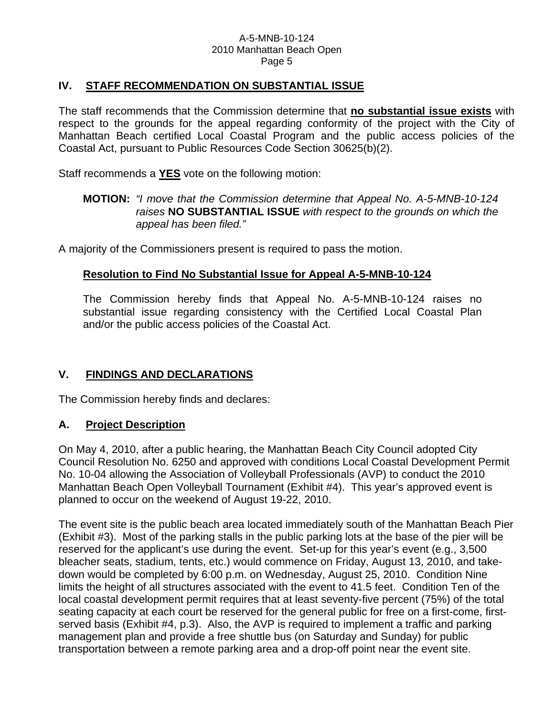## **IV. STAFF RECOMMENDATION ON SUBSTANTIAL ISSUE**

The staff recommends that the Commission determine that **no substantial issue exists** with respect to the grounds for the appeal regarding conformity of the project with the City of Manhattan Beach certified Local Coastal Program and the public access policies of the Coastal Act, pursuant to Public Resources Code Section 30625(b)(2).

Staff recommends a **YES** vote on the following motion:

### **MOTION:** *"I move that the Commission determine that Appeal No. A-5-MNB-10-124 raises* **NO SUBSTANTIAL ISSUE** *with respect to the grounds on which the appeal has been filed."*

A majority of the Commissioners present is required to pass the motion.

### **Resolution to Find No Substantial Issue for Appeal A-5-MNB-10-124**

The Commission hereby finds that Appeal No. A-5-MNB-10-124 raises no substantial issue regarding consistency with the Certified Local Coastal Plan and/or the public access policies of the Coastal Act.

# **V. FINDINGS AND DECLARATIONS**

The Commission hereby finds and declares:

### **A. Project Description**

On May 4, 2010, after a public hearing, the Manhattan Beach City Council adopted City Council Resolution No. 6250 and approved with conditions Local Coastal Development Permit No. 10-04 allowing the Association of Volleyball Professionals (AVP) to conduct the 2010 Manhattan Beach Open Volleyball Tournament (Exhibit #4). This year's approved event is planned to occur on the weekend of August 19-22, 2010.

The event site is the public beach area located immediately south of the Manhattan Beach Pier (Exhibit #3). Most of the parking stalls in the public parking lots at the base of the pier will be reserved for the applicant's use during the event. Set-up for this year's event (e.g., 3,500 bleacher seats, stadium, tents, etc.) would commence on Friday, August 13, 2010, and takedown would be completed by 6:00 p.m. on Wednesday, August 25, 2010. Condition Nine limits the height of all structures associated with the event to 41.5 feet. Condition Ten of the local coastal development permit requires that at least seventy-five percent (75%) of the total seating capacity at each court be reserved for the general public for free on a first-come, firstserved basis (Exhibit #4, p.3). Also, the AVP is required to implement a traffic and parking management plan and provide a free shuttle bus (on Saturday and Sunday) for public transportation between a remote parking area and a drop-off point near the event site.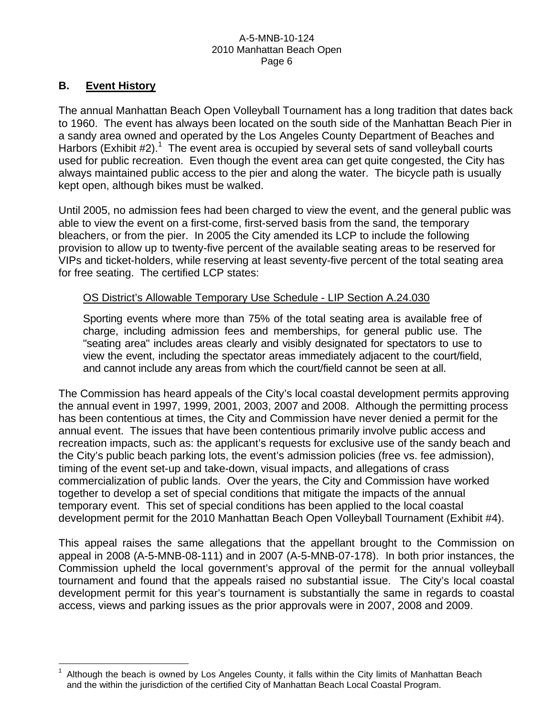## **B. Event History**

The annual Manhattan Beach Open Volleyball Tournament has a long tradition that dates back to 1960. The event has always been located on the south side of the Manhattan Beach Pier in a sandy area owned and operated by the Los Angeles County Department of Beaches and Harbors (Exhibit  $#2$ ).<sup>[1](#page-5-0)</sup> The event area is occupied by several sets of sand volleyball courts used for public recreation. Even though the event area can get quite congested, the City has always maintained public access to the pier and along the water. The bicycle path is usually kept open, although bikes must be walked.

Until 2005, no admission fees had been charged to view the event, and the general public was able to view the event on a first-come, first-served basis from the sand, the temporary bleachers, or from the pier. In 2005 the City amended its LCP to include the following provision to allow up to twenty-five percent of the available seating areas to be reserved for VIPs and ticket-holders, while reserving at least seventy-five percent of the total seating area for free seating. The certified LCP states:

### OS District's Allowable Temporary Use Schedule - LIP Section A.24.030

Sporting events where more than 75% of the total seating area is available free of charge, including admission fees and memberships, for general public use. The "seating area" includes areas clearly and visibly designated for spectators to use to view the event, including the spectator areas immediately adjacent to the court/field, and cannot include any areas from which the court/field cannot be seen at all.

The Commission has heard appeals of the City's local coastal development permits approving the annual event in 1997, 1999, 2001, 2003, 2007 and 2008. Although the permitting process has been contentious at times, the City and Commission have never denied a permit for the annual event. The issues that have been contentious primarily involve public access and recreation impacts, such as: the applicant's requests for exclusive use of the sandy beach and the City's public beach parking lots, the event's admission policies (free vs. fee admission), timing of the event set-up and take-down, visual impacts, and allegations of crass commercialization of public lands. Over the years, the City and Commission have worked together to develop a set of special conditions that mitigate the impacts of the annual temporary event. This set of special conditions has been applied to the local coastal development permit for the 2010 Manhattan Beach Open Volleyball Tournament (Exhibit #4).

This appeal raises the same allegations that the appellant brought to the Commission on appeal in 2008 (A-5-MNB-08-111) and in 2007 (A-5-MNB-07-178). In both prior instances, the Commission upheld the local government's approval of the permit for the annual volleyball tournament and found that the appeals raised no substantial issue. The City's local coastal development permit for this year's tournament is substantially the same in regards to coastal access, views and parking issues as the prior approvals were in 2007, 2008 and 2009.

<span id="page-5-0"></span> $\overline{a}$ 1 Although the beach is owned by Los Angeles County, it falls within the City limits of Manhattan Beach and the within the jurisdiction of the certified City of Manhattan Beach Local Coastal Program.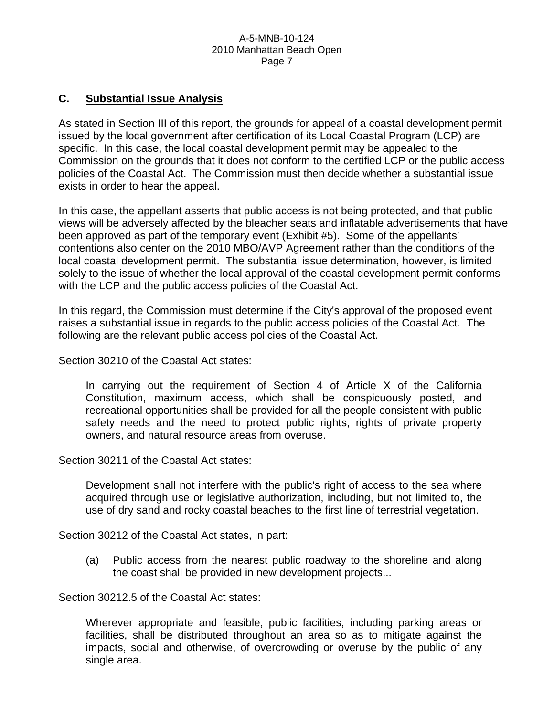# **C. Substantial Issue Analysis**

As stated in Section III of this report, the grounds for appeal of a coastal development permit issued by the local government after certification of its Local Coastal Program (LCP) are specific. In this case, the local coastal development permit may be appealed to the Commission on the grounds that it does not conform to the certified LCP or the public access policies of the Coastal Act. The Commission must then decide whether a substantial issue exists in order to hear the appeal.

In this case, the appellant asserts that public access is not being protected, and that public views will be adversely affected by the bleacher seats and inflatable advertisements that have been approved as part of the temporary event (Exhibit #5). Some of the appellants' contentions also center on the 2010 MBO/AVP Agreement rather than the conditions of the local coastal development permit. The substantial issue determination, however, is limited solely to the issue of whether the local approval of the coastal development permit conforms with the LCP and the public access policies of the Coastal Act.

In this regard, the Commission must determine if the City's approval of the proposed event raises a substantial issue in regards to the public access policies of the Coastal Act. The following are the relevant public access policies of the Coastal Act.

Section 30210 of the Coastal Act states:

 In carrying out the requirement of Section 4 of Article X of the California Constitution, maximum access, which shall be conspicuously posted, and recreational opportunities shall be provided for all the people consistent with public safety needs and the need to protect public rights, rights of private property owners, and natural resource areas from overuse.

Section 30211 of the Coastal Act states:

 Development shall not interfere with the public's right of access to the sea where acquired through use or legislative authorization, including, but not limited to, the use of dry sand and rocky coastal beaches to the first line of terrestrial vegetation.

Section 30212 of the Coastal Act states, in part:

 (a) Public access from the nearest public roadway to the shoreline and along the coast shall be provided in new development projects...

Section 30212.5 of the Coastal Act states:

Wherever appropriate and feasible, public facilities, including parking areas or facilities, shall be distributed throughout an area so as to mitigate against the impacts, social and otherwise, of overcrowding or overuse by the public of any single area.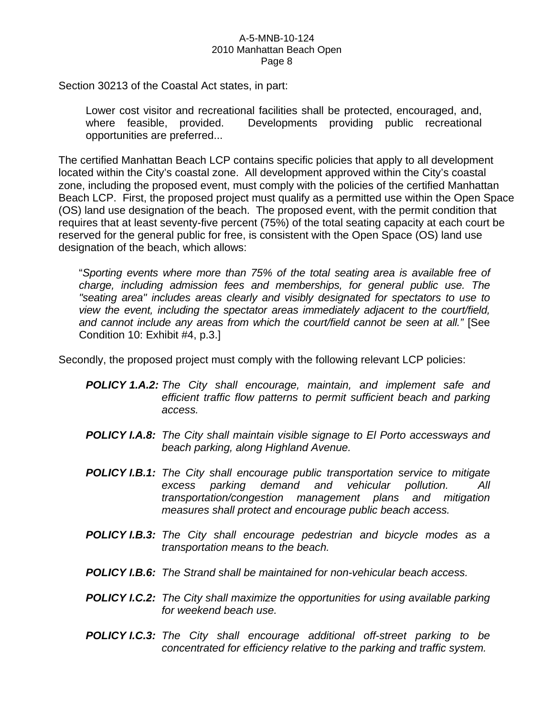Section 30213 of the Coastal Act states, in part:

 Lower cost visitor and recreational facilities shall be protected, encouraged, and, where feasible, provided. Developments providing public recreational opportunities are preferred...

The certified Manhattan Beach LCP contains specific policies that apply to all development located within the City's coastal zone. All development approved within the City's coastal zone, including the proposed event, must comply with the policies of the certified Manhattan Beach LCP. First, the proposed project must qualify as a permitted use within the Open Space (OS) land use designation of the beach. The proposed event, with the permit condition that requires that at least seventy-five percent (75%) of the total seating capacity at each court be reserved for the general public for free, is consistent with the Open Space (OS) land use designation of the beach, which allows:

"*Sporting events where more than 75% of the total seating area is available free of charge, including admission fees and memberships, for general public use. The "seating area" includes areas clearly and visibly designated for spectators to use to view the event, including the spectator areas immediately adjacent to the court/field, and cannot include any areas from which the court/field cannot be seen at all."* [See Condition 10: Exhibit #4, p.3.]

Secondly, the proposed project must comply with the following relevant LCP policies:

- *POLICY 1.A.2: The City shall encourage, maintain, and implement safe and efficient traffic flow patterns to permit sufficient beach and parking access.*
- *POLICY I.A.8: The City shall maintain visible signage to El Porto accessways and beach parking, along Highland Avenue.*
- *POLICY I.B.1: The City shall encourage public transportation service to mitigate excess parking demand and vehicular pollution. All transportation/congestion management plans and mitigation measures shall protect and encourage public beach access.*
- *POLICY I.B.3: The City shall encourage pedestrian and bicycle modes as a transportation means to the beach.*
- *POLICY I.B.6: The Strand shall be maintained for non-vehicular beach access.*
- *POLICY I.C.2: The City shall maximize the opportunities for using available parking for weekend beach use.*
- *POLICY I.C.3: The City shall encourage additional off-street parking to be concentrated for efficiency relative to the parking and traffic system.*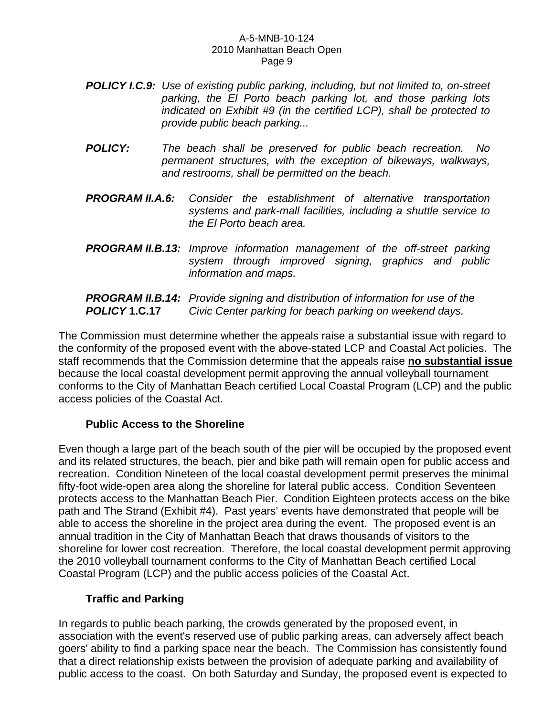- *POLICY I.C.9: Use of existing public parking, including, but not limited to, on-street parking, the El Porto beach parking lot, and those parking lots indicated on Exhibit #9 (in the certified LCP), shall be protected to provide public beach parking...*
- *POLICY: The beach shall be preserved for public beach recreation. No permanent structures, with the exception of bikeways, walkways, and restrooms, shall be permitted on the beach.*
- *PROGRAM II.A.6: Consider the establishment of alternative transportation systems and park-mall facilities, including a shuttle service to the El Porto beach area.*
- *PROGRAM II.B.13: Improve information management of the off-street parking system through improved signing, graphics and public information and maps.*

## *PROGRAM II.B.14: Provide signing and distribution of information for use of the POLICY* **1.C.17** *Civic Center parking for beach parking on weekend days.*

The Commission must determine whether the appeals raise a substantial issue with regard to the conformity of the proposed event with the above-stated LCP and Coastal Act policies. The staff recommends that the Commission determine that the appeals raise **no substantial issue** because the local coastal development permit approving the annual volleyball tournament conforms to the City of Manhattan Beach certified Local Coastal Program (LCP) and the public access policies of the Coastal Act.

# **Public Access to the Shoreline**

Even though a large part of the beach south of the pier will be occupied by the proposed event and its related structures, the beach, pier and bike path will remain open for public access and recreation. Condition Nineteen of the local coastal development permit preserves the minimal fifty-foot wide-open area along the shoreline for lateral public access. Condition Seventeen protects access to the Manhattan Beach Pier. Condition Eighteen protects access on the bike path and The Strand (Exhibit #4). Past years' events have demonstrated that people will be able to access the shoreline in the project area during the event. The proposed event is an annual tradition in the City of Manhattan Beach that draws thousands of visitors to the shoreline for lower cost recreation. Therefore, the local coastal development permit approving the 2010 volleyball tournament conforms to the City of Manhattan Beach certified Local Coastal Program (LCP) and the public access policies of the Coastal Act.

# **Traffic and Parking**

In regards to public beach parking, the crowds generated by the proposed event, in association with the event's reserved use of public parking areas, can adversely affect beach goers' ability to find a parking space near the beach. The Commission has consistently found that a direct relationship exists between the provision of adequate parking and availability of public access to the coast. On both Saturday and Sunday, the proposed event is expected to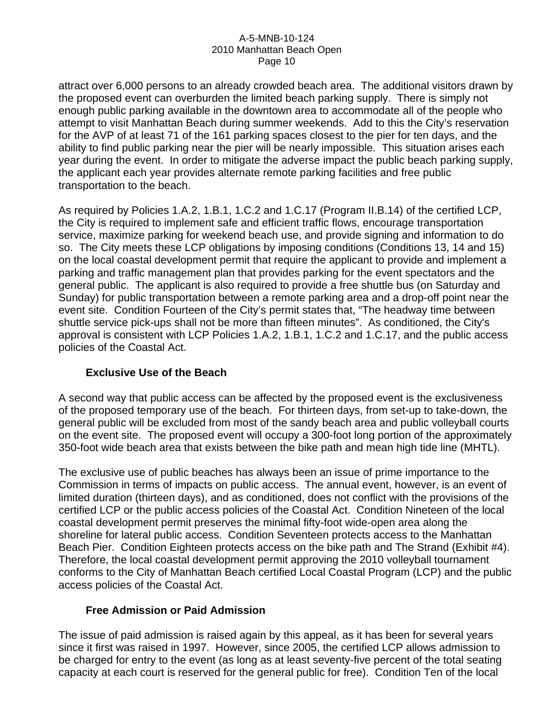attract over 6,000 persons to an already crowded beach area. The additional visitors drawn by the proposed event can overburden the limited beach parking supply. There is simply not enough public parking available in the downtown area to accommodate all of the people who attempt to visit Manhattan Beach during summer weekends. Add to this the City's reservation for the AVP of at least 71 of the 161 parking spaces closest to the pier for ten days, and the ability to find public parking near the pier will be nearly impossible. This situation arises each year during the event. In order to mitigate the adverse impact the public beach parking supply, the applicant each year provides alternate remote parking facilities and free public transportation to the beach.

As required by Policies 1.A.2, 1.B.1, 1.C.2 and 1.C.17 (Program II.B.14) of the certified LCP, the City is required to implement safe and efficient traffic flows, encourage transportation service, maximize parking for weekend beach use, and provide signing and information to do so. The City meets these LCP obligations by imposing conditions (Conditions 13, 14 and 15) on the local coastal development permit that require the applicant to provide and implement a parking and traffic management plan that provides parking for the event spectators and the general public. The applicant is also required to provide a free shuttle bus (on Saturday and Sunday) for public transportation between a remote parking area and a drop-off point near the event site. Condition Fourteen of the City's permit states that, "The headway time between shuttle service pick-ups shall not be more than fifteen minutes". As conditioned, the City's approval is consistent with LCP Policies 1.A.2, 1.B.1, 1.C.2 and 1.C.17, and the public access policies of the Coastal Act.

# **Exclusive Use of the Beach**

A second way that public access can be affected by the proposed event is the exclusiveness of the proposed temporary use of the beach. For thirteen days, from set-up to take-down, the general public will be excluded from most of the sandy beach area and public volleyball courts on the event site. The proposed event will occupy a 300-foot long portion of the approximately 350-foot wide beach area that exists between the bike path and mean high tide line (MHTL).

The exclusive use of public beaches has always been an issue of prime importance to the Commission in terms of impacts on public access. The annual event, however, is an event of limited duration (thirteen days), and as conditioned, does not conflict with the provisions of the certified LCP or the public access policies of the Coastal Act. Condition Nineteen of the local coastal development permit preserves the minimal fifty-foot wide-open area along the shoreline for lateral public access. Condition Seventeen protects access to the Manhattan Beach Pier. Condition Eighteen protects access on the bike path and The Strand (Exhibit #4). Therefore, the local coastal development permit approving the 2010 volleyball tournament conforms to the City of Manhattan Beach certified Local Coastal Program (LCP) and the public access policies of the Coastal Act.

# **Free Admission or Paid Admission**

The issue of paid admission is raised again by this appeal, as it has been for several years since it first was raised in 1997. However, since 2005, the certified LCP allows admission to be charged for entry to the event (as long as at least seventy-five percent of the total seating capacity at each court is reserved for the general public for free). Condition Ten of the local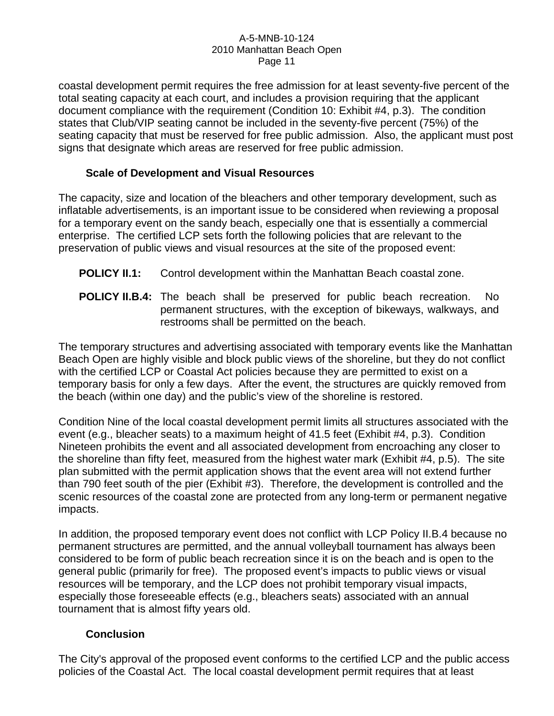coastal development permit requires the free admission for at least seventy-five percent of the total seating capacity at each court, and includes a provision requiring that the applicant document compliance with the requirement (Condition 10: Exhibit #4, p.3). The condition states that Club/VIP seating cannot be included in the seventy-five percent (75%) of the seating capacity that must be reserved for free public admission. Also, the applicant must post signs that designate which areas are reserved for free public admission.

# **Scale of Development and Visual Resources**

The capacity, size and location of the bleachers and other temporary development, such as inflatable advertisements, is an important issue to be considered when reviewing a proposal for a temporary event on the sandy beach, especially one that is essentially a commercial enterprise. The certified LCP sets forth the following policies that are relevant to the preservation of public views and visual resources at the site of the proposed event:

# **POLICY II.1:** Control development within the Manhattan Beach coastal zone.

**POLICY II.B.4:** The beach shall be preserved for public beach recreation. No permanent structures, with the exception of bikeways, walkways, and restrooms shall be permitted on the beach.

The temporary structures and advertising associated with temporary events like the Manhattan Beach Open are highly visible and block public views of the shoreline, but they do not conflict with the certified LCP or Coastal Act policies because they are permitted to exist on a temporary basis for only a few days. After the event, the structures are quickly removed from the beach (within one day) and the public's view of the shoreline is restored.

Condition Nine of the local coastal development permit limits all structures associated with the event (e.g., bleacher seats) to a maximum height of 41.5 feet (Exhibit #4, p.3). Condition Nineteen prohibits the event and all associated development from encroaching any closer to the shoreline than fifty feet, measured from the highest water mark (Exhibit #4, p.5). The site plan submitted with the permit application shows that the event area will not extend further than 790 feet south of the pier (Exhibit #3). Therefore, the development is controlled and the scenic resources of the coastal zone are protected from any long-term or permanent negative impacts.

In addition, the proposed temporary event does not conflict with LCP Policy II.B.4 because no permanent structures are permitted, and the annual volleyball tournament has always been considered to be form of public beach recreation since it is on the beach and is open to the general public (primarily for free). The proposed event's impacts to public views or visual resources will be temporary, and the LCP does not prohibit temporary visual impacts, especially those foreseeable effects (e.g., bleachers seats) associated with an annual tournament that is almost fifty years old.

# **Conclusion**

The City's approval of the proposed event conforms to the certified LCP and the public access policies of the Coastal Act. The local coastal development permit requires that at least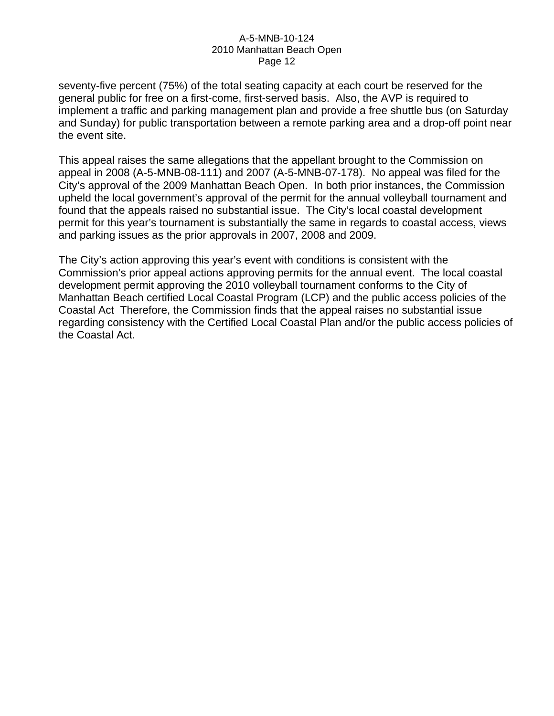seventy-five percent (75%) of the total seating capacity at each court be reserved for the general public for free on a first-come, first-served basis. Also, the AVP is required to implement a traffic and parking management plan and provide a free shuttle bus (on Saturday and Sunday) for public transportation between a remote parking area and a drop-off point near the event site.

This appeal raises the same allegations that the appellant brought to the Commission on appeal in 2008 (A-5-MNB-08-111) and 2007 (A-5-MNB-07-178). No appeal was filed for the City's approval of the 2009 Manhattan Beach Open. In both prior instances, the Commission upheld the local government's approval of the permit for the annual volleyball tournament and found that the appeals raised no substantial issue. The City's local coastal development permit for this year's tournament is substantially the same in regards to coastal access, views and parking issues as the prior approvals in 2007, 2008 and 2009.

The City's action approving this year's event with conditions is consistent with the Commission's prior appeal actions approving permits for the annual event. The local coastal development permit approving the 2010 volleyball tournament conforms to the City of Manhattan Beach certified Local Coastal Program (LCP) and the public access policies of the Coastal Act Therefore, the Commission finds that the appeal raises no substantial issue regarding consistency with the Certified Local Coastal Plan and/or the public access policies of the Coastal Act.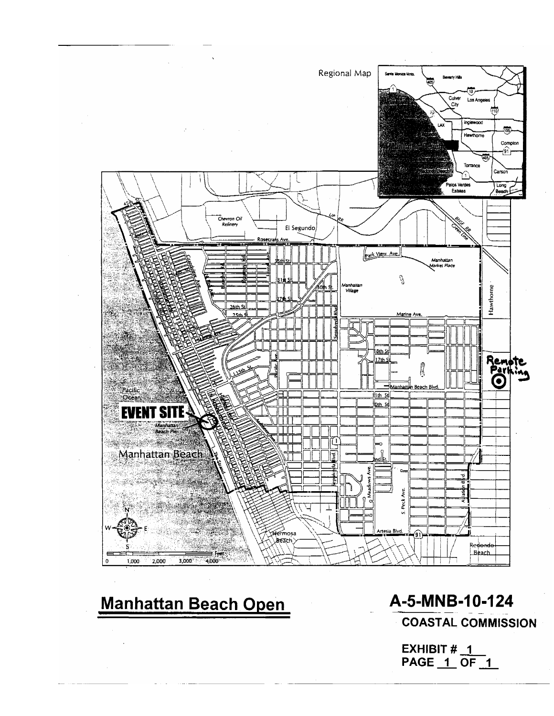

**Manhattan Beach Open** 

A-5-MNB-10-124

**COASTAL COMMISSION** 

EXHIBIT  $#_1$ PAGE 1 OF 1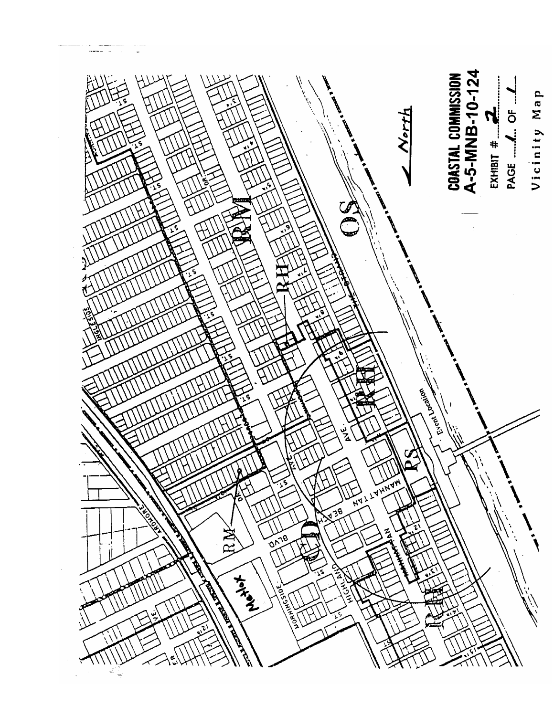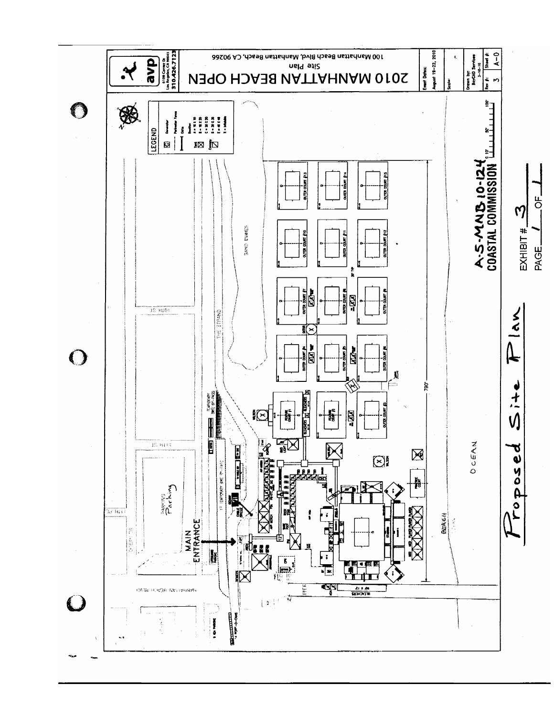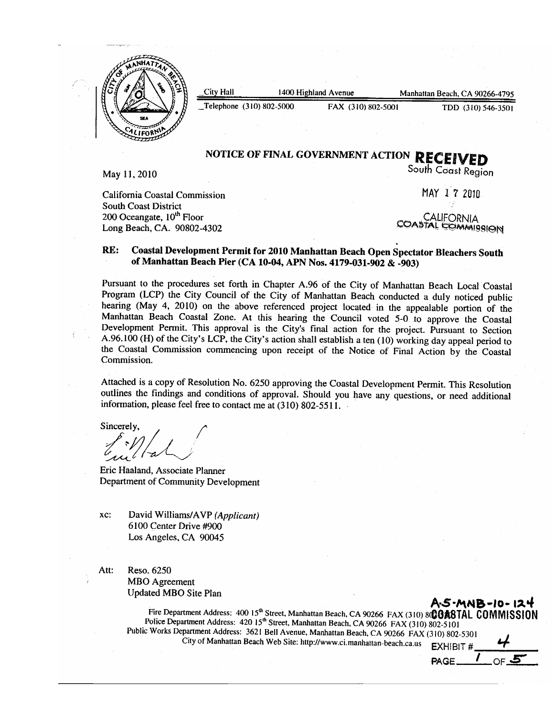

# NOTICE OF FINAL GOVERNMENT ACTION RECEIVED

May 11, 2010

California Coastal Commission **South Coast District** 200 Oceangate, 10<sup>th</sup> Floor Long Beach, CA. 90802-4302

MAY 1 7 2010

South Coast Region

CALIFORNIA **STAL COMMISSION** 

#### RE: Coastal Development Permit for 2010 Manhattan Beach Open Spectator Bleachers South of Manhattan Beach Pier (CA 10-04, APN Nos. 4179-031-902 & -903)

Pursuant to the procedures set forth in Chapter A.96 of the City of Manhattan Beach Local Coastal Program (LCP) the City Council of the City of Manhattan Beach conducted a duly noticed public hearing (May 4, 2010) on the above referenced project located in the appealable portion of the Manhattan Beach Coastal Zone. At this hearing the Council voted 5-0 to approve the Coastal Development Permit. This approval is the City's final action for the project. Pursuant to Section A.96.100 (H) of the City's LCP, the City's action shall establish a ten (10) working day appeal period to the Coastal Commission commencing upon receipt of the Notice of Final Action by the Coastal Commission.

Attached is a copy of Resolution No. 6250 approving the Coastal Development Permit. This Resolution outlines the findings and conditions of approval. Should you have any questions, or need additional information, please feel free to contact me at (310) 802-5511.

Sincerely,

Eric Haaland, Associate Planner Department of Community Development

- David Williams/AVP (Applicant) xc: 6100 Center Drive #900 Los Angeles, CA 90045
- Att: Reso. 6250

**MBO** Agreement Updated MBO Site Plan

A.5-MNB-10-124

Fire Department Address: 400 15th Street, Manhattan Beach, CA 90266 FAX (310) 80 30 31 STAL COMMISSION Police Department Address: 420 15<sup>th</sup> Street, Manhattan Beach, CA 90266 FAX (310) 802-5101 Public Works Department Address: 3621 Bell Avenue, Manhattan Beach, CA 90266 FAX (310) 802-5301 City of Manhattan Beach Web Site: http://www.ci.manhattan-beach.ca.us EXHIBIT #

PAGE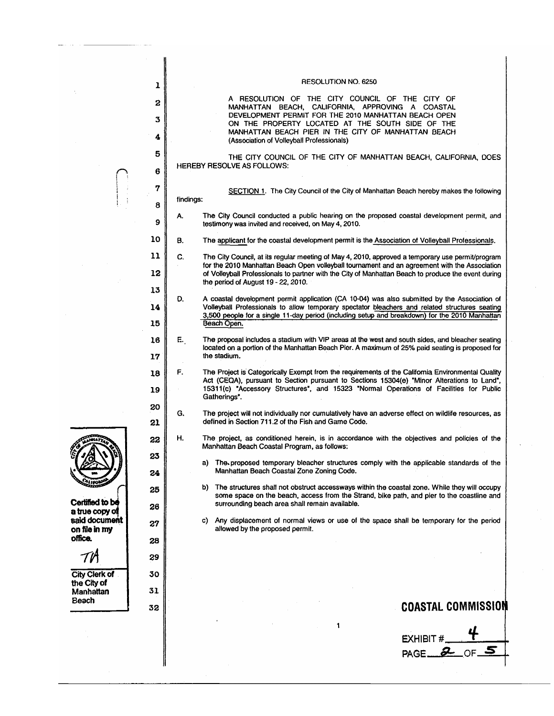|  | ı        | RESOLUTION NO. 6250                                                                                                                                                                                                                                                                                            |  |
|--|----------|----------------------------------------------------------------------------------------------------------------------------------------------------------------------------------------------------------------------------------------------------------------------------------------------------------------|--|
|  | 2        | A RESOLUTION OF THE CITY COUNCIL OF THE CITY OF<br>MANHATTAN BEACH, CALIFORNIA, APPROVING A COASTAL                                                                                                                                                                                                            |  |
|  | 3        | DEVELOPMENT PERMIT FOR THE 2010 MANHATTAN BEACH OPEN<br>ON THE PROPERTY LOCATED AT THE SOUTH SIDE OF THE                                                                                                                                                                                                       |  |
|  | 4        | MANHATTAN BEACH PIER IN THE CITY OF MANHATTAN BEACH<br>(Association of Volleyball Professionals)                                                                                                                                                                                                               |  |
|  | 5        | THE CITY COUNCIL OF THE CITY OF MANHATTAN BEACH, CALIFORNIA, DOES                                                                                                                                                                                                                                              |  |
|  | $\bf{6}$ | <b>HEREBY RESOLVE AS FOLLOWS:</b>                                                                                                                                                                                                                                                                              |  |
|  | 7        | SECTION 1. The City Council of the City of Manhattan Beach hereby makes the following<br>findings:                                                                                                                                                                                                             |  |
|  | 8        | А.<br>The City Council conducted a public hearing on the proposed coastal development permit, and                                                                                                                                                                                                              |  |
|  | 9        | testimony was invited and received, on May 4, 2010.                                                                                                                                                                                                                                                            |  |
|  | 10<br>11 | В.<br>The applicant for the coastal development permit is the Association of Volleyball Professionals.                                                                                                                                                                                                         |  |
|  | 12       | C.<br>The City Council, at its reqular meeting of May 4, 2010, approved a temporary use permit/program<br>for the 2010 Manhattan Beach Open volleyball tournament and an agreement with the Association<br>of Volleyball Professionals to partner with the City of Manhattan Beach to produce the event during |  |
|  | 13       | the period of August 19 - 22, 2010.                                                                                                                                                                                                                                                                            |  |
|  | 14       | D.<br>A coastal development permit application (CA 10-04) was also submitted by the Association of<br>Volleyball Professionals to allow temporary spectator bleachers and related structures seating                                                                                                           |  |
|  | 15       | 3,500 people for a single 11-day period (including setup and breakdown) for the 2010 Manhattan<br>Beach Open.                                                                                                                                                                                                  |  |
|  | 16       | Е.,<br>The proposal includes a stadium with VIP areas at the west and south sides, and bleacher seating<br>located on a portion of the Manhattan Beach Pier. A maximum of 25% paid seating is proposed for                                                                                                     |  |
|  | 17       | the stadium.                                                                                                                                                                                                                                                                                                   |  |
|  | 18       | The Project is Categorically Exempt from the requirements of the California Environmental Quality<br>Act (CEQA), pursuant to Section pursuant to Sections 15304(e) "Minor Alterations to Land",<br>15311(c) "Accessory Structures", and 15323 "Normal Operations of Facilities for Public<br>Gatherings".      |  |
|  | 19       |                                                                                                                                                                                                                                                                                                                |  |
|  | 20<br>21 | G.<br>The project will not individually nor cumulatively have an adverse effect on wildlife resources, as<br>defined in Section 711.2 of the Fish and Game Code.                                                                                                                                               |  |
|  | 22       | Н.<br>The project, as conditioned herein, is in accordance with the objectives and policies of the<br>Manhattan Beach Coastal Program, as follows:                                                                                                                                                             |  |
|  | 23       | The proposed temporary bleacher structures comply with the applicable standards of the<br>a)                                                                                                                                                                                                                   |  |
|  | 24       | Manhattan Beach Coastal Zone Zoning Code.                                                                                                                                                                                                                                                                      |  |
|  | 25<br>26 | b) The structures shall not obstruct accessways within the coastal zone. While they will occupy<br>some space on the beach, access from the Strand, bike path, and pier to the coastline and<br>surrounding beach area shall remain available.                                                                 |  |
|  | 27       | c) Any displacement of normal views or use of the space shall be temporary for the period                                                                                                                                                                                                                      |  |
|  | 28       | allowed by the proposed permit.                                                                                                                                                                                                                                                                                |  |
|  | 29       |                                                                                                                                                                                                                                                                                                                |  |
|  | 30       |                                                                                                                                                                                                                                                                                                                |  |
|  | 31       |                                                                                                                                                                                                                                                                                                                |  |
|  | 32       | <b>COASTAL COMMISSION</b>                                                                                                                                                                                                                                                                                      |  |
|  |          | EXHIBIT $#$                                                                                                                                                                                                                                                                                                    |  |
|  |          | PAGE 2 OF 5                                                                                                                                                                                                                                                                                                    |  |
|  |          |                                                                                                                                                                                                                                                                                                                |  |

 $\mathcal{A}_1$ 

Certified to b<br>a true copy of<br>said docume<br>on file in my office.

TA

City Clerk of<br>the City of<br>Manhattan Beach

 $\overline{\phantom{a}}$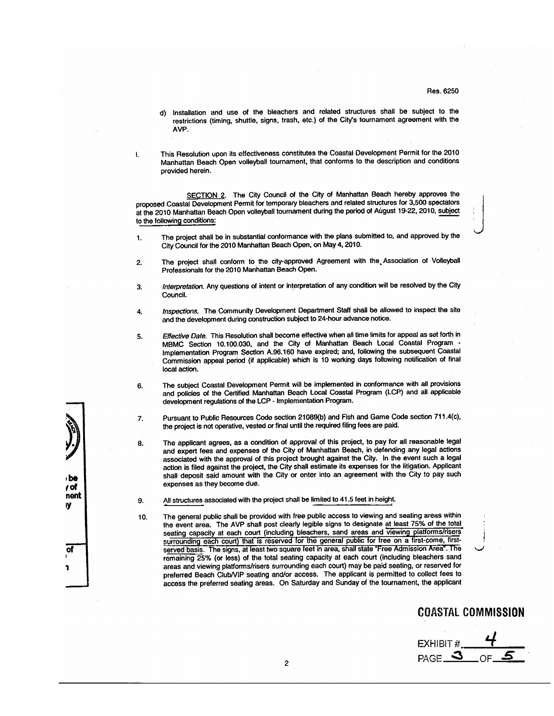- Installation and use of the bleachers and related structures shall be subject to the d) restrictions (timing, shuttle, signs, trash, etc.) of the City's tournament agreement with the AVP.
- This Resolution upon its effectiveness constitutes the Coastal Development Permit for the 2010 Manhattan Beach Open volleyball tournament, that conforms to the description and conditions provided herein.

1.

ı be

∕ of nent

Ŋ

of

SECTION 2. The City Council of the City of Manhattan Beach hereby approves the proposed Coastal Development Permit for temporary bleachers and related structures for 3,500 spectators at the 2010 Manhattan Beach Open volleyball tournament during the period of August 19-22, 2010, subject to the following conditions:

- The project shall be in substantial conformance with the plans submitted to, and approved by the 1. City Council for the 2010 Manhattan Beach Open, on May 4, 2010.
- The project shall conform to the city-approved Agreement with the Association of Volleyball  $2.$ Professionals for the 2010 Manhattan Beach Open.
- Interpretation. Any questions of intent or interpretation of any condition will be resolved by the City 3. Council.
- Inspections. The Community Development Department Staff shall be allowed to inspect the site 4. and the development during construction subject to 24-hour advance notice.
- Effective Date. This Resolution shall become effective when all time limits for appeal as set forth in 5. MBMC Section 10.100.030, and the City of Manhattan Beach Local Coastal Program -Implementation Program Section A.96.160 have expired; and, following the subsequent Coastal Commission appeal period (if applicable) which is 10 working days following notification of final local action.
- The subject Coastal Development Permit will be implemented in conformance with all provisions 6. and policies of the Certified Manhattan Beach Local Coastal Program (LCP) and all applicable development regulations of the LCP - Implementation Program.
- Pursuant to Public Resources Code section 21089(b) and Fish and Game Code section 711.4(c), 7. the project is not operative, vested or final until the required filing fees are paid.
- The applicant agrees, as a condition of approval of this project, to pay for all reasonable legal 8. and expert fees and expenses of the City of Manhattan Beach, in defending any legal actions associated with the approval of this project brought against the City. In the event such a legal action is filed against the project, the City shall estimate its expenses for the litigation. Applicant shall deposit said amount with the City or enter into an agreement with the City to pay such expenses as they become due.
- All structures associated with the project shall be limited to 41.5 feet in height. 9.
- The general public shall be provided with free public access to viewing and seating areas within  $10.$ the event area. The AVP shall post clearly legible signs to designate at least 75% of the total seating capacity at each court (including bleachers, sand areas and viewing platforms/risers surrounding each court) that is reserved for the general public for free on a first-come, firstserved basis. The signs, at least two square feet in area, shall state "Free Admission Area". The remaining 25% (or less) of the total seating capacity at each court (including bleachers sand areas and viewing platforms/risers surrounding each court) may be paid seating, or reserved for preferred Beach Club/VIP seating and/or access. The applicant is permitted to collect fees to access the preferred seating areas. On Saturday and Sunday of the tournament, the applicant

### **COASTAL COMMISSION**

EXHIBIT #

2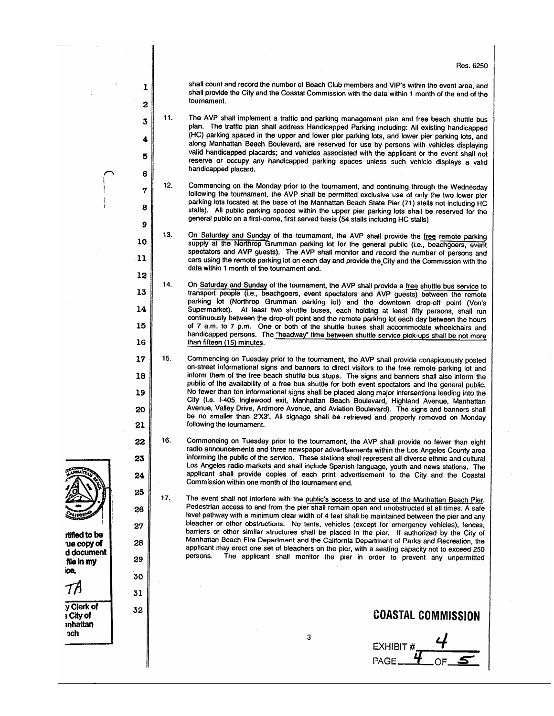Res. 6250

shall count and record the number of Beach Club members and VIP's within the event area, and shall provide the City and the Coastal Commission with the data within 1 month of the end of the tournament.

The AVP shall implement a traffic and parking management plan and free beach shuttle bus plan. The traffic plan shall address Handicapped Parking including: All existing handicapped (HC) parking spaced in the upper and lower pier parking lots, and lower pier parking lots, and along Manhattan Beach Boulevard, are reserved for use by persons with vehicles displaying valid handicapped placards; and vehicles associated with the applicant or the event shall not reserve or occupy any handicapped parking spaces unless such vehicle displays a valid handicapped placard.

- $12.$ Commencing on the Monday prior to the tournament, and continuing through the Wednesday following the tournament, the AVP shall be permitted exclusive use of only the two lower pier parking lots located at the base of the Manhattan Beach State Pier (71) stalls not including HC stalls). All public parking spaces within the upper pier parking lots shall be reserved for the general public on a first-come, first served basis (54 stalls including HC stalls)
- 13. On Saturday and Sunday of the tournament, the AVP shall provide the free remote parking supply at the Northrop Grumman parking lot for the general public (i.e., beachgoers, event spectators and AVP guests). The AVP shall monitor and record the number of persons and cars using the remote parking lot on each day and provide the City and the Commission with the data within 1 month of the tournament end.
- 14. On Saturday and Sunday of the tournament, the AVP shall provide a free shuttle bus service to transport people (i.e., beachgoers, event spectators and AVP guests) between the remote parking lot (Northrop Grumman parking lot) and the downtown drop-off point (Von's Supermarket). At least two shuttle buses, each holding at least fifty persons, shall run continuously between the drop-off point and the remote parking lot each day between the hours of 7 a.m. to 7 p.m. One or both of the shuttle buses shall accommodate wheelchairs and handicapped persons. The "headway" time between shuttle service pick-ups shall be not more than fifteen (15) minutes.
- 15. Commencing on Tuesday prior to the tournament, the AVP shall provide conspicuously posted on-street informational signs and banners to direct visitors to the free remote parking lot and inform them of the free beach shuttle bus stops. The signs and banners shall also inform the public of the availability of a free bus shuttle for both event spectators and the general public. No fewer than ten informational signs shall be placed along major intersections leading into the City (i.e. I-405 Inglewood exit, Manhattan Beach Boulevard, Highland Avenue, Manhattan Avenue, Valley Drive, Ardmore Avenue, and Aviation Boulevard). The signs and banners shall be no smaller than 2'X3'. All signage shall be retrieved and properly removed on Monday following the tournament.
- 16. Commencing on Tuesday prior to the tournament, the AVP shall provide no fewer than eight radio announcements and three newspaper advertisements within the Los Angeles County area informing the public of the service. These stations shall represent all diverse ethnic and cultural Los Angeles radio markets and shall include Spanish language, youth and news stations. The applicant shall provide copies of each print advertisement to the City and the Coastal Commission within one month of the tournament end.
	- 17. The event shall not interfere with the public's access to and use of the Manhattan Beach Pier. Pedestrian access to and from the pier shall remain open and unobstructed at all times. A safe level pathway with a minimum clear width of 4 feet shall be maintained between the pier and any bleacher or other obstructions. No tents, vehicles (except for emergency vehicles), fences, barriers or other similar structures shall be placed in the pier. If authorized by the City of Manhattan Beach Fire Department and the California Department of Parks and Recreation, the applicant may erect one set of bleachers on the pier, with a seating capacity not to exceed 250 The applicant shall monitor the pier in order to prevent any unpermitted persons.

COASTAL COMMISSION

PAGE



 $\mathbf{I}$ 

 $\overline{\mathbf{2}}$ 

3

4

5

6

 $\overline{7}$ 

8

9

 $10<sub>o</sub>$ 

11

12

13

14

15

16

17

18

19

20

21

22

23

24

25

26

27

28

29

30

31

32

11.

rtified to be ue copy of d document file in my ice.

TA

y Clerk of : City of **inhattan** эch

3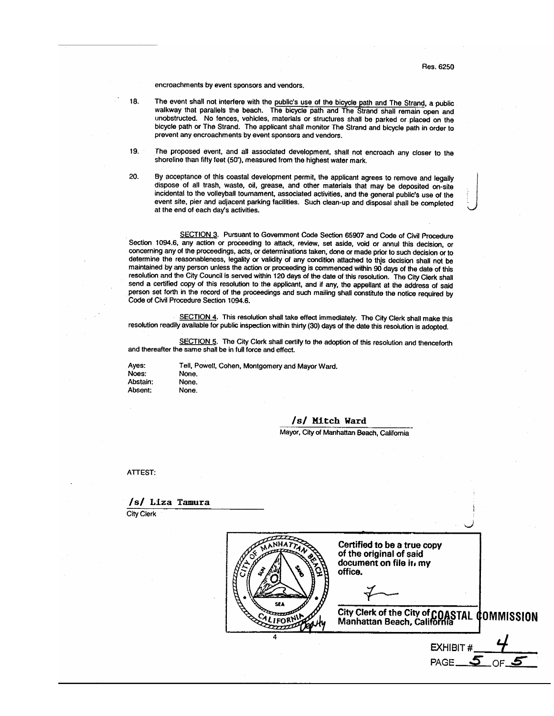encroachments by event sponsors and vendors.

- 18. The event shall not interfere with the public's use of the bicycle path and The Strand, a public walkway that parallels the beach. The bicycle path and The Strand shall remain open and unobstructed. No fences, vehicles, materials or structures shall be parked or placed on the bicycle path or The Strand. The applicant shall monitor The Strand and bicycle path in order to prevent any encroachments by event sponsors and vendors.
- The proposed event, and all associated development, shall not encroach any closer to the 19. shoreline than fifty feet (50'), measured from the highest water mark.
- By acceptance of this coastal development permit, the applicant agrees to remove and legally 20. dispose of all trash, waste, oil, grease, and other materials that may be deposited on-site incidental to the volleyball tournament, associated activities, and the general public's use of the event site, pier and adjacent parking facilities. Such clean-up and disposal shall be completed at the end of each day's activities.

SECTION 3. Pursuant to Government Code Section 65907 and Code of Civil Procedure Section 1094.6, any action or proceeding to attack, review, set aside, void or annul this decision, or concerning any of the proceedings, acts, or determinations taken, done or made prior to such decision or to determine the reasonableness, legality or validity of any condition attached to this decision shall not be maintained by any person unless the action or proceeding is commenced within 90 days of the date of this resolution and the City Council is served within 120 days of the date of this resolution. The City Clerk shall send a certified copy of this resolution to the applicant, and if any, the appellant at the address of said person set forth in the record of the proceedings and such mailing shall constitute the notice required by Code of Civil Procedure Section 1094.6.

SECTION 4. This resolution shall take effect immediately. The City Clerk shall make this resolution readily available for public inspection within thirty (30) days of the date this resolution is adopted.

SECTION 5. The City Clerk shall certify to the adoption of this resolution and thenceforth and thereafter the same shall be in full force and effect.

Ayes: Noes: Abstain: Absent:

Tell, Powell, Cohen, Montgomery and Mayor Ward. None. None. None.

/s/ Mitch Ward

Mayor, City of Manhattan Beach, California

ATTEST:

/s/ Liza Tamura

City Clerk



PAGE.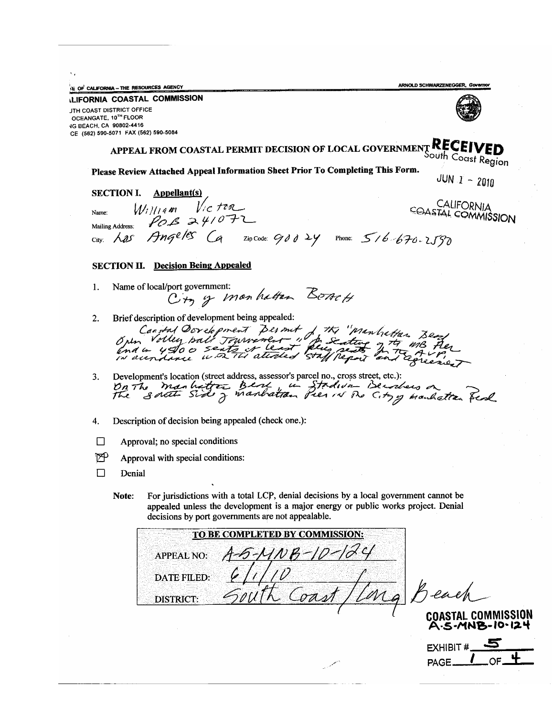E OF CALIFORNIA - THE RESOURCES AGENCY

ARNOLD SCHWARZENEGGER, Governor

**ILIFORNIA COASTAL COMMISSION** 

JTH COAST DISTRICT OFFICE OCEANGATE, 10TH FLOOR **4G BEACH, CA 90802-4416** CE (562) 590-5071 FAX (562) 590-5084

APPEAL FROM COASTAL PERMIT DECISION OF LOCAL GOVERNMENT **RECEIV** 

Please Review Attached Appeal Information Sheet Prior To Completing This Form.

 $JUN I - 2010$ 

| <b>SECTION I.</b> Appellant(s)                         |                                  |
|--------------------------------------------------------|----------------------------------|
| $W_1$ lliam Victor<br>Name:<br><b>Mailing Address:</b> | CALIFORNIA<br>COASTAL COMMISSION |
| City: Las Angeles Ca zipcode: 9002y                    | Phone: 516-670-2580              |
|                                                        |                                  |

#### **SECTION II.** Decision Being Appealed

- Name of local/port government: 1. Cty of manhattan BEACH
- Brief description of development being appealed: 2.

 $\mathcal{A}_1$ tts Caastal Dorch ponent Bermit  $4500$ una in 4500 seas et attaled staff pensio

Development's location (street address, assessor's parcel no., cross street, etc.):<br>On The Man hetter Bend, in Stadium Benders on<br>The South Side of manhation free in The City of manhatic. Real. 3.

Description of decision being appealed (check one.): 4.

□ Approval; no special conditions

™ Approval with special conditions:

- $\Box$ Denial
	- For jurisdictions with a total LCP, denial decisions by a local government cannot be Note: appealed unless the development is a major energy or public works project. Denial decisions by port governments are not appealable.

|                    | TO BE COMPLETED BY COMMISSION: |                  |
|--------------------|--------------------------------|------------------|
| <b>APPEAL NO:</b>  |                                |                  |
| <b>DATE FILED:</b> |                                |                  |
| <b>DISTRICT:</b>   |                                | each             |
|                    |                                | COASTAL COMMISSI |
|                    |                                | <b>EXHIBIT#</b>  |

 $\sqrt{C}$  $PAGE$ <sub>---</sub>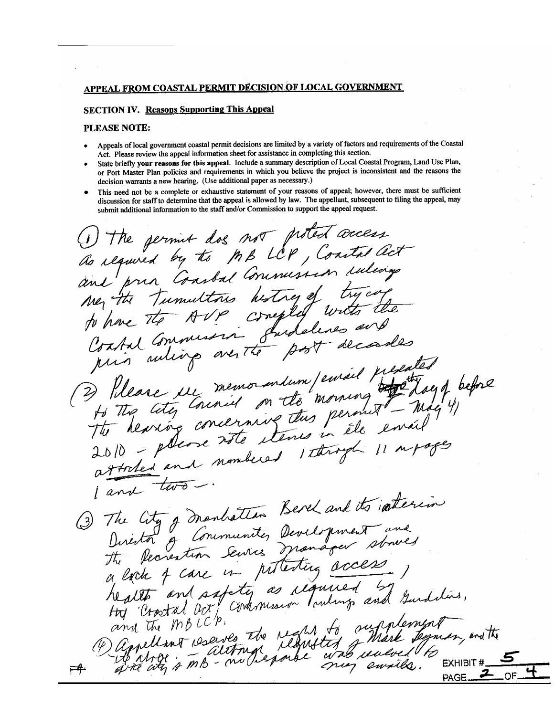#### APPEAL FROM COASTAL PERMIT DECISION OF LOCAL GOVERNMENT

#### **SECTION IV. Reasons Supporting This Appeal**

#### PLEASE NOTE:

- Appeals of local government coastal permit decisions are limited by a variety of factors and requirements of the Coastal Act. Please review the appeal information sheet for assistance in completing this section.
- State briefly your reasons for this appeal. Include a summary description of Local Coastal Program, Land Use Plan, or Port Master Plan policies and requirements in which you believe the project is inconsistent and the reasons the decision warrants a new hearing. (Use additional paper as necessary.)
- This need not be a complete or exhaustive statement of your reasons of appeal; however, there must be sufficient  $\bullet$ discussion for staff to determine that the appeal is allowed by law. The appellant, subsequent to filing the appeal, may submit additional information to the staff and/or Commission to support the appeal request.

(1) The germit doe not poted access<br>as required by to MB LCP, Contal act Mer the Tunultons he Conepley  $^\prime$  Ur to have the Contrel Commission Sudde pris auligo arenthe De Please in memorantum/eurail présented<br>4 The City Council on the moment Magy before<br>The hearing concerning this permit - Magy attaled and numbered Itaryl 11 a I and two-3 The City of Inanhatter Bevelopment and a lack of care in putterting acce healtte and safety as required by and the MBLUP.<br>(P) agrellant reserves the regritted of Mark .<br>The arg is mb-on permise was under **EXHIBIT#** न#∸ PAGE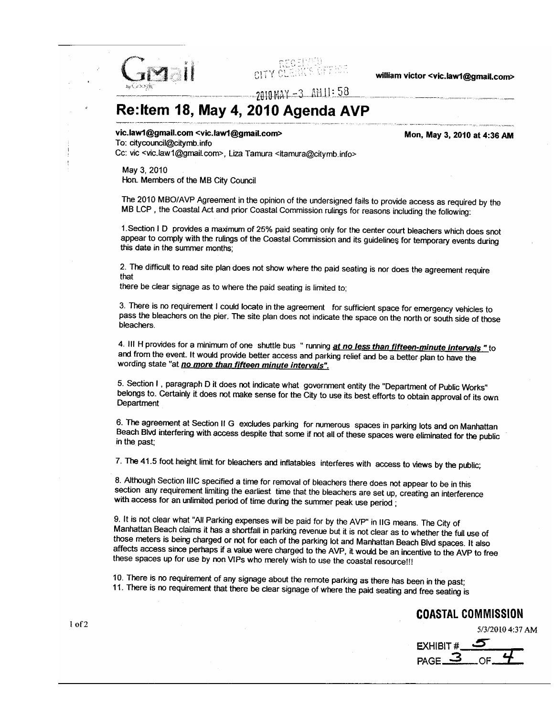

**CITY CLEANS GEFIER** 

william victor <vic.law1@gmail.com>

 $-2010$  MAY  $-3$   $-$  AM 11 : 58

# Re: Item 18, May 4, 2010 Agenda AVP

vic.law1@gmail.com <vic.law1@gmail.com> To: citycouncil@citymb.info

Mon, May 3, 2010 at 4:36 AM

Cc: vic <vic.law1@gmail.com>, Liza Tamura <ltamura@citymb.info>

May 3, 2010 Hon. Members of the MB City Council

The 2010 MBO/AVP Agreement in the opinion of the undersigned fails to provide access as required by the MB LCP, the Coastal Act and prior Coastal Commission rulings for reasons including the following:

1. Section I D provides a maximum of 25% paid seating only for the center court bleachers which does snot appear to comply with the rulings of the Coastal Commission and its guidelines for temporary events during this date in the summer months;

2. The difficult to read site plan does not show where the paid seating is nor does the agreement require that

there be clear signage as to where the paid seating is limited to;

3. There is no requirement I could locate in the agreement for sufficient space for emergency vehicles to pass the bleachers on the pier. The site plan does not indicate the space on the north or south side of those bleachers.

4. III H provides for a minimum of one shuttle bus " running at no less than fifteen-minute intervals." to and from the event. It would provide better access and parking relief and be a better plan to have the wording state "at no more than fifteen minute intervals".

5. Section I, paragraph D it does not indicate what government entity the "Department of Public Works" belongs to. Certainly it does not make sense for the City to use its best efforts to obtain approval of its own Department

6. The agreement at Section II G excludes parking for numerous spaces in parking lots and on Manhattan Beach Blvd interfering with access despite that some if not all of these spaces were eliminated for the public in the past:

7. The 41.5 foot height limit for bleachers and inflatables interferes with access to views by the public;

8. Although Section IIIC specified a time for removal of bleachers there does not appear to be in this section any requirement limiting the earliest time that the bleachers are set up, creating an interference with access for an unlimited period of time during the summer peak use period;

9. It is not clear what "All Parking expenses will be paid for by the AVP" in IIG means. The City of Manhattan Beach claims it has a shortfall in parking revenue but it is not clear as to whether the full use of those meters is being charged or not for each of the parking lot and Manhattan Beach Blvd spaces. It also affects access since perhaps if a value were charged to the AVP, it would be an incentive to the AVP to free these spaces up for use by non VIPs who merely wish to use the coastal resource!!!

10. There is no requirement of any signage about the remote parking as there has been in the past; 11. There is no requirement that there be clear signage of where the paid seating and free seating is

**COASTAL COMMISSION** 

5/3/2010 4:37 AM

**EXHIBIT #** 

 $1 of 2$